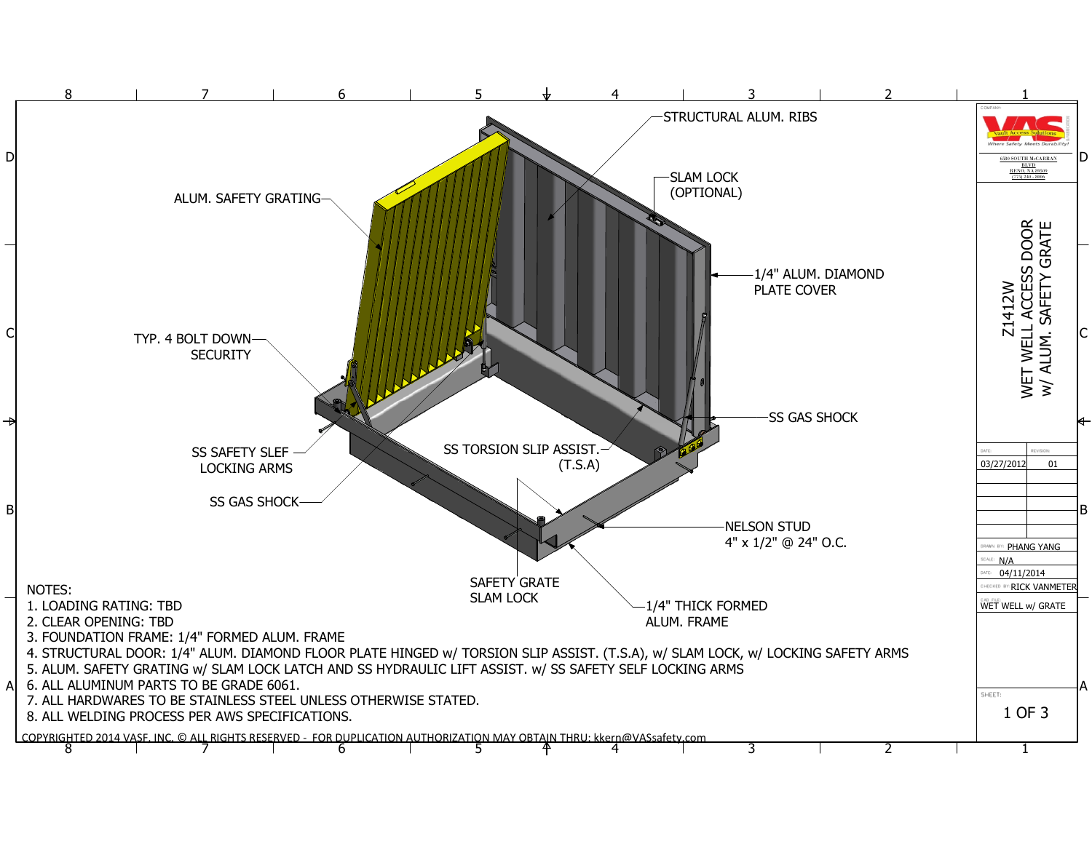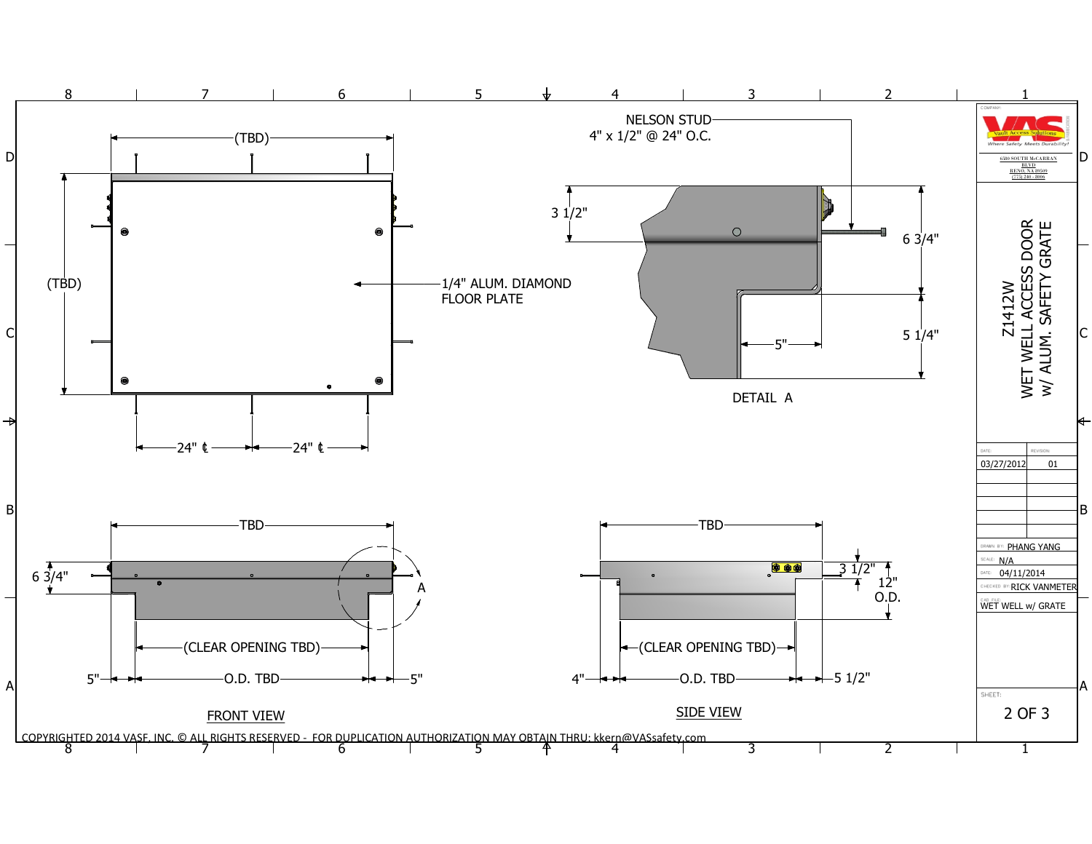